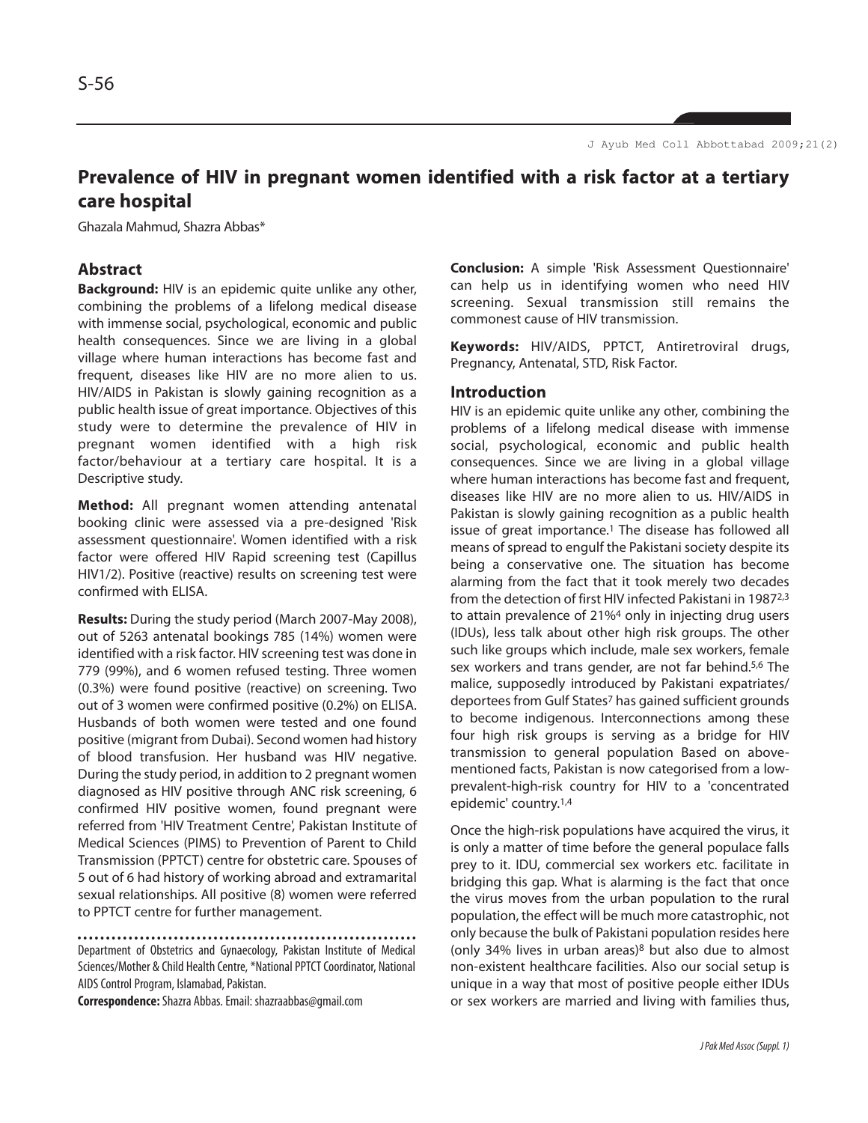# **Prevalence of HIV in pregnant women identified with a risk factor at a tertiary care hospital**

Ghazala Mahmud, Shazra Abbas\*

# **Abstract**

**Background:** HIV is an epidemic quite unlike any other, combining the problems of a lifelong medical disease with immense social, psychological, economic and public health consequences. Since we are living in a global village where human interactions has become fast and frequent, diseases like HIV are no more alien to us. HIV/AIDS in Pakistan is slowly gaining recognition as a public health issue of great importance. Objectives of this study were to determine the prevalence of HIV in pregnant women identified with a high risk factor/behaviour at a tertiary care hospital. It is a Descriptive study.

**Method:** All pregnant women attending antenatal booking clinic were assessed via a pre-designed 'Risk assessment questionnaire'. Women identified with a risk factor were offered HIV Rapid screening test (Capillus HIV1/2). Positive (reactive) results on screening test were confirmed with ELISA.

**Results:** During the study period (March 2007-May 2008), out of 5263 antenatal bookings 785 (14%) women were identified with a risk factor. HIV screening test was done in 779 (99%), and 6 women refused testing. Three women (0.3%) were found positive (reactive) on screening. Two out of 3 women were confirmed positive (0.2%) on ELISA. Husbands of both women were tested and one found positive (migrant from Dubai). Second women had history of blood transfusion. Her husband was HIV negative. During the study period, in addition to 2 pregnant women diagnosed as HIV positive through ANC risk screening, 6 confirmed HIV positive women, found pregnant were referred from 'HIV Treatment Centre', Pakistan Institute of Medical Sciences (PIMS) to Prevention of Parent to Child Transmission (PPTCT) centre for obstetric care. Spouses of 5 out of 6 had history of working abroad and extramarital sexual relationships. All positive (8) women were referred to PPTCT centre for further management.

Department of Obstetrics and Gynaecology, Pakistan Institute of Medical Sciences/Mother & Child Health Centre, \*National PPTCT Coordinator, National AIDS Control Program, Islamabad, Pakistan.

**Correspondence:**Shazra Abbas. Email: shazraabbas@gmail.com

**Conclusion:** A simple 'Risk Assessment Questionnaire' can help us in identifying women who need HIV screening. Sexual transmission still remains the commonest cause of HIV transmission.

**Keywords:** HIV/AIDS, PPTCT, Antiretroviral drugs, Pregnancy, Antenatal, STD, Risk Factor.

#### **Introduction**

HIV is an epidemic quite unlike any other, combining the problems of a lifelong medical disease with immense social, psychological, economic and public health consequences. Since we are living in a global village where human interactions has become fast and frequent, diseases like HIV are no more alien to us. HIV/AIDS in Pakistan is slowly gaining recognition as a public health issue of great importance.<sup>1</sup> The disease has followed all means of spread to engulf the Pakistani society despite its being a conservative one. The situation has become alarming from the fact that it took merely two decades from the detection of first HIV infected Pakistani in 19872,3 to attain prevalence of 21%<sup>4</sup> only in injecting drug users (IDUs), less talk about other high risk groups. The other such like groups which include, male sex workers, female sex workers and trans gender, are not far behind.<sup>5,6</sup> The malice, supposedly introduced by Pakistani expatriates/ deportees from Gulf States<sup>7</sup> has gained sufficient grounds to become indigenous. Interconnections among these four high risk groups is serving as a bridge for HIV transmission to general population Based on abovementioned facts, Pakistan is now categorised from a lowprevalent-high-risk country for HIV to a 'concentrated epidemic' country.1,4

Once the high-risk populations have acquired the virus, it is only a matter of time before the general populace falls prey to it. IDU, commercial sex workers etc. facilitate in bridging this gap. What is alarming is the fact that once the virus moves from the urban population to the rural population, the effect will be much more catastrophic, not only because the bulk of Pakistani population resides here (only 34% lives in urban areas)<sup>8</sup> but also due to almost non-existent healthcare facilities. Also our social setup is unique in a way that most of positive people either IDUs or sex workers are married and living with families thus,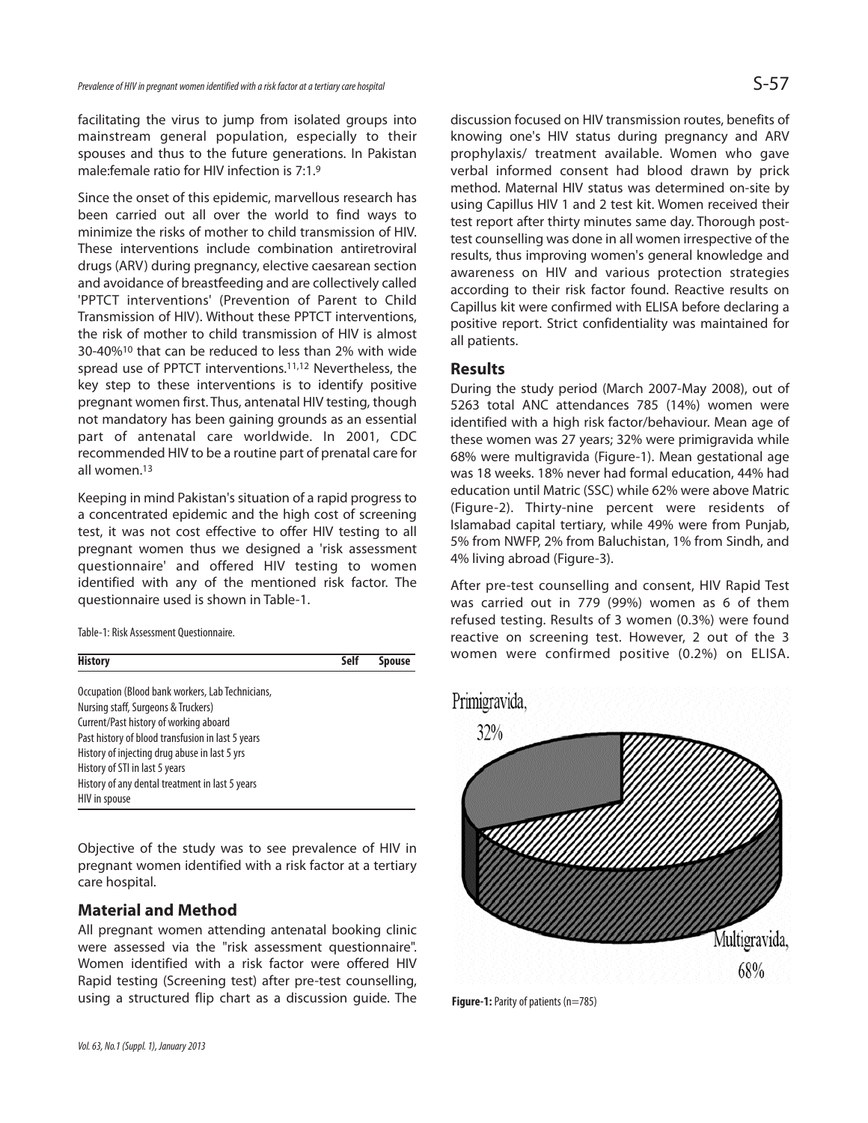facilitating the virus to jump from isolated groups into mainstream general population, especially to their spouses and thus to the future generations. In Pakistan male:female ratio for HIV infection is 7:1.<sup>9</sup>

Since the onset of this epidemic, marvellous research has been carried out all over the world to find ways to minimize the risks of mother to child transmission of HIV. These interventions include combination antiretroviral drugs (ARV) during pregnancy, elective caesarean section and avoidance of breastfeeding and are collectively called 'PPTCT interventions' (Prevention of Parent to Child Transmission of HIV). Without these PPTCT interventions, the risk of mother to child transmission of HIV is almost 30-40%<sup>10</sup> that can be reduced to less than 2% with wide spread use of PPTCT interventions.11,12 Nevertheless, the key step to these interventions is to identify positive pregnant women first. Thus, antenatal HIV testing, though not mandatory has been gaining grounds as an essential part of antenatal care worldwide. In 2001, CDC recommended HIV to be a routine part of prenatal care for all women.<sup>13</sup>

Keeping in mind Pakistan's situation of a rapid progress to a concentrated epidemic and the high cost of screening test, it was not cost effective to offer HIV testing to all pregnant women thus we designed a 'risk assessment questionnaire' and offered HIV testing to women identified with any of the mentioned risk factor. The questionnaire used is shown in Table-1.

Table-1: Risk Assessment Questionnaire.



Objective of the study was to see prevalence of HIV in pregnant women identified with a risk factor at a tertiary care hospital.

# **Material and Method**

All pregnant women attending antenatal booking clinic were assessed via the "risk assessment questionnaire". Women identified with a risk factor were offered HIV Rapid testing (Screening test) after pre-test counselling, using a structured flip chart as a discussion guide. The

discussion focused on HIV transmission routes, benefits of knowing one's HIV status during pregnancy and ARV prophylaxis/ treatment available. Women who gave verbal informed consent had blood drawn by prick method. Maternal HIV status was determined on-site by using Capillus HIV 1 and 2 test kit. Women received their test report after thirty minutes same day. Thorough posttest counselling was done in all women irrespective of the results, thus improving women's general knowledge and awareness on HIV and various protection strategies according to their risk factor found. Reactive results on Capillus kit were confirmed with ELISA before declaring a positive report. Strict confidentiality was maintained for all patients.

#### **Results**

During the study period (March 2007-May 2008), out of 5263 total ANC attendances 785 (14%) women were identified with a high risk factor/behaviour. Mean age of these women was 27 years; 32% were primigravida while 68% were multigravida (Figure-1). Mean gestational age was 18 weeks. 18% never had formal education, 44% had education until Matric (SSC) while 62% were above Matric (Figure-2). Thirty-nine percent were residents of Islamabad capital tertiary, while 49% were from Punjab, 5% from NWFP, 2% from Baluchistan, 1% from Sindh, and 4% living abroad (Figure-3).

After pre-test counselling and consent, HIV Rapid Test was carried out in 779 (99%) women as 6 of them refused testing. Results of 3 women (0.3%) were found reactive on screening test. However, 2 out of the 3 women were confirmed positive (0.2%) on ELISA.



**Figure-1:** Parity of patients (n=785)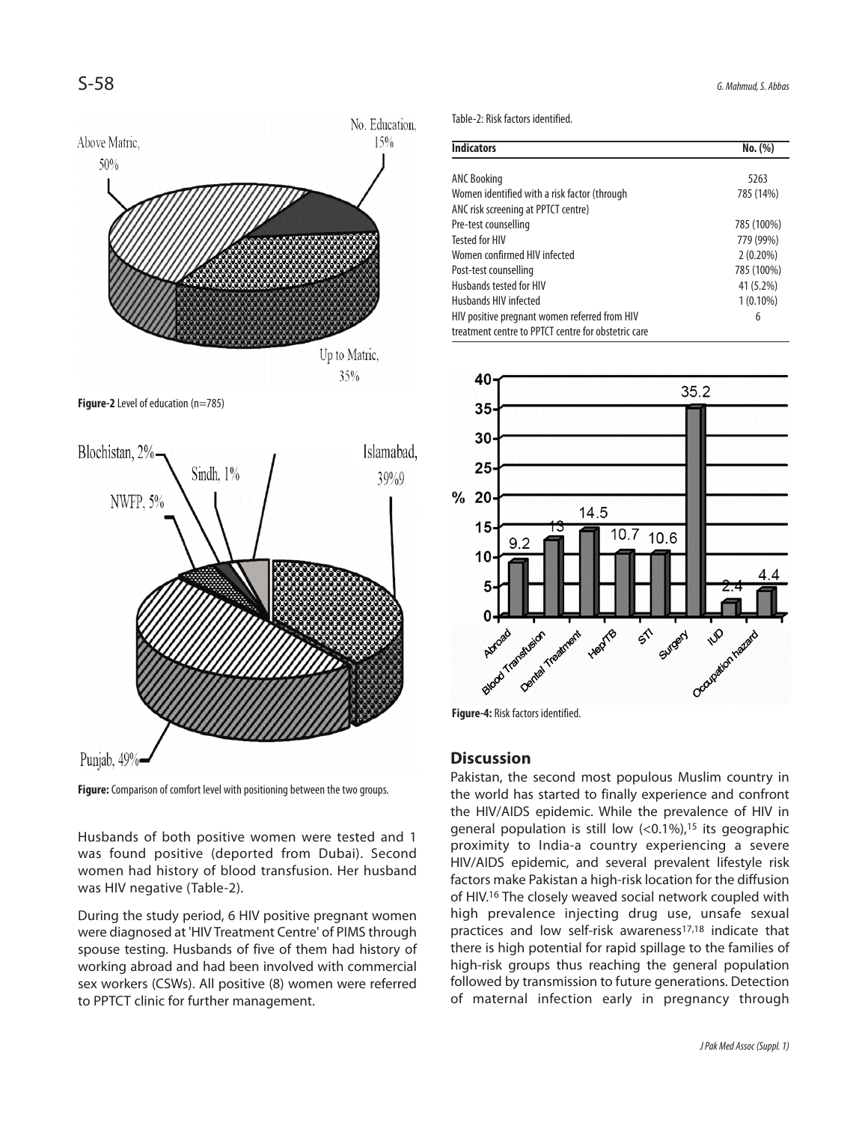

**Figure-2** Level of education (n=785)



**Figure:** Comparison of comfort level with positioning between the two groups.

Husbands of both positive women were tested and 1 was found positive (deported from Dubai). Second women had history of blood transfusion. Her husband was HIV negative (Table-2).

During the study period, 6 HIV positive pregnant women were diagnosed at 'HIV Treatment Centre' of PIMS through spouse testing. Husbands of five of them had history of working abroad and had been involved with commercial sex workers (CSWs). All positive (8) women were referred to PPTCT clinic for further management.

Table-2: Risk factors identified.

| <b>Indicators</b>                                   | No. (%)     |
|-----------------------------------------------------|-------------|
|                                                     |             |
| <b>ANC Booking</b>                                  | 5263        |
| Women identified with a risk factor (through        | 785 (14%)   |
| ANC risk screening at PPTCT centre)                 |             |
| Pre-test counselling                                | 785 (100%)  |
| <b>Tested for HIV</b>                               | 779 (99%)   |
| Women confirmed HIV infected                        | $2(0.20\%)$ |
| Post-test counselling                               | 785 (100%)  |
| Husbands tested for HIV                             | 41 (5.2%)   |
| Husbands HIV infected                               | $1(0.10\%)$ |
| HIV positive pregnant women referred from HIV       | 6           |
| treatment centre to PPTCT centre for obstetric care |             |



**Figure-4:** Risk factors identified.

### **Discussion**

Pakistan, the second most populous Muslim country in the world has started to finally experience and confront the HIV/AIDS epidemic. While the prevalence of HIV in general population is still low  $( $0.1\%$ )<sup>15</sup>$  its geographic proximity to India-a country experiencing a severe HIV/AIDS epidemic, and several prevalent lifestyle risk factors make Pakistan a high-risk location for the diffusion of HIV.<sup>16</sup> The closely weaved social network coupled with high prevalence injecting drug use, unsafe sexual practices and low self-risk awareness<sup>17,18</sup> indicate that there is high potential for rapid spillage to the families of high-risk groups thus reaching the general population followed by transmission to future generations. Detection of maternal infection early in pregnancy through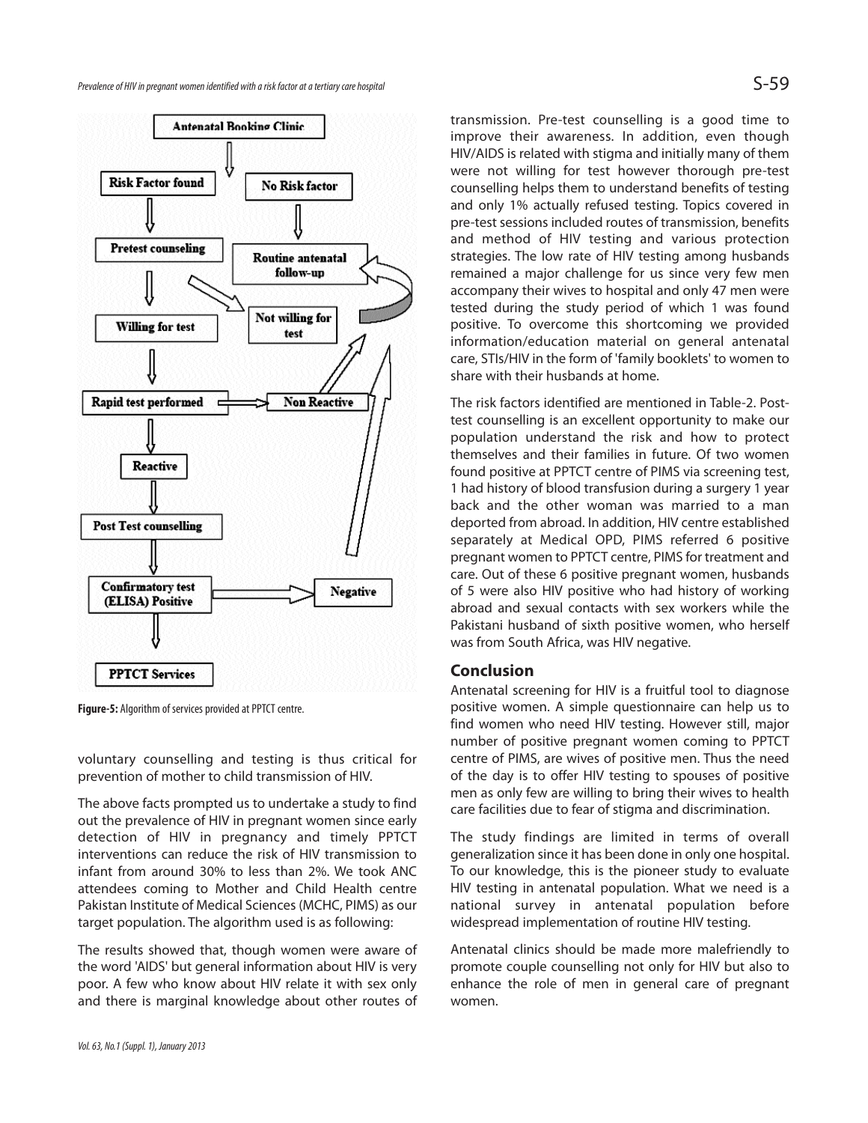

**Figure-5:** Algorithm of services provided at PPTCT centre.

voluntary counselling and testing is thus critical for prevention of mother to child transmission of HIV.

The above facts prompted us to undertake a study to find out the prevalence of HIV in pregnant women since early detection of HIV in pregnancy and timely PPTCT interventions can reduce the risk of HIV transmission to infant from around 30% to less than 2%. We took ANC attendees coming to Mother and Child Health centre Pakistan Institute of Medical Sciences (MCHC, PIMS) as our target population. The algorithm used is as following:

The results showed that, though women were aware of the word 'AIDS' but general information about HIV is very poor. A few who know about HIV relate it with sex only and there is marginal knowledge about other routes of transmission. Pre-test counselling is a good time to improve their awareness. In addition, even though HIV/AIDS is related with stigma and initially many of them were not willing for test however thorough pre-test counselling helps them to understand benefits of testing and only 1% actually refused testing. Topics covered in pre-test sessions included routes of transmission, benefits and method of HIV testing and various protection strategies. The low rate of HIV testing among husbands remained a major challenge for us since very few men accompany their wives to hospital and only 47 men were tested during the study period of which 1 was found positive. To overcome this shortcoming we provided information/education material on general antenatal care, STIs/HIV in the form of 'family booklets' to women to share with their husbands at home.

The risk factors identified are mentioned in Table-2. Posttest counselling is an excellent opportunity to make our population understand the risk and how to protect themselves and their families in future. Of two women found positive at PPTCT centre of PIMS via screening test, 1 had history of blood transfusion during a surgery 1 year back and the other woman was married to a man deported from abroad. In addition, HIV centre established separately at Medical OPD, PIMS referred 6 positive pregnant women to PPTCT centre, PIMS for treatment and care. Out of these 6 positive pregnant women, husbands of 5 were also HIV positive who had history of working abroad and sexual contacts with sex workers while the Pakistani husband of sixth positive women, who herself was from South Africa, was HIV negative.

#### **Conclusion**

Antenatal screening for HIV is a fruitful tool to diagnose positive women. A simple questionnaire can help us to find women who need HIV testing. However still, major number of positive pregnant women coming to PPTCT centre of PIMS, are wives of positive men. Thus the need of the day is to offer HIV testing to spouses of positive men as only few are willing to bring their wives to health care facilities due to fear of stigma and discrimination.

The study findings are limited in terms of overall generalization since it has been done in only one hospital. To our knowledge, this is the pioneer study to evaluate HIV testing in antenatal population. What we need is a national survey in antenatal population before widespread implementation of routine HIV testing.

Antenatal clinics should be made more malefriendly to promote couple counselling not only for HIV but also to enhance the role of men in general care of pregnant women.